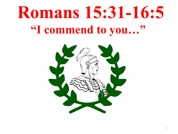## **Romans 15:31-16:5 "I commend to you…"**

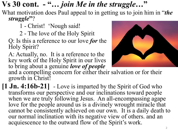## **Vs 30 cont. - "…** *join Me in the struggle***…"**

What motivation does Paul appeal to in getting us to join him in "*the struggle***"**?

- 1 Christ! 'Nough said!
- 2 The love of the Holy Spirit
- Q: Is this a reference to our love *for* the Holy Spirit?
- A: Actually, no. It is a reference to the key work of the Holy Spirit in our lives to bring about a genuine *love of people*



and a compelling concern for either their salvation or for their growth in Christ!

**[1 Jn. 4:16b-21]** - Love is imparted by the Spirit of God who transforms our perspective and our inclinations toward people when we are truly following Jesus. An all-encompassing agape love for the people around us is a divinely wrought miracle that cannot be consistently achieved on our own. It is a daily death to our normal inclination with its negative view of others. and an acquiescence to the outward flow of the Spirit's work.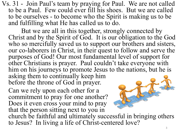Vs. 31 - Join Paul's team by praying for Paul. We are not called to be a Paul. Few could ever fill his shoes. But we are called to be ourselves - to become who the Spirit is making us to be and fulfilling what He has called us to do.

But we are all in this together, strongly connected by Christ and by the Spirit of God. It is our obligation to the God who so mercifully saved us to support our brothers and sisters, our co-laborers in Christ, in their quest to follow and serve the purposes of God! Our most fundamental level of support for other Christians is prayer. Paul couldn't take everyone with him on his journeys to promote Jesus to the nations, but he is asking them to continually keep him before the throne of God in prayer.

Can we rely upon each other for a commitment to pray for one another? Does it even cross your mind to pray that the person sitting next to you in



church be faithful and ultimately successful in bringing others to Jesus? In living a life of Christ-centered love?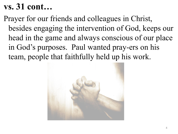## **vs. 31 cont…**

Prayer for our friends and colleagues in Christ, besides engaging the intervention of God, keeps our head in the game and always conscious of our place in God's purposes. Paul wanted pray-ers on his team, people that faithfully held up his work.

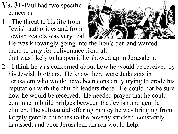- **Vs. 31-**Paul had two specific concerns.
- 1 The threat to his life from Jewish authorities and from Jewish zealots was very real. He was knowingly going into the lion's den and wanted them to pray for deliverance from all that was likely to happen if he showed up in Jerusalem.
- 2 I think he was concerned about how he would be received by his Jewish brothers. He knew there were Judaizers in Jerusalem who would have been constantly trying to erode his reputation with the church leaders there. He could not be sure how he would be received. He needed prayer that he could continue to build bridges between the Jewish and gentile church. The substantial offering money he was bringing from largely gentile churches to the poverty stricken, constantly harassed, and poor Jerusalem church would help.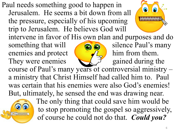Paul needs something good to happen in Jerusalem. He seems a bit down from all the pressure, especially of his upcoming trip to Jerusalem. He believes God will



intervene in favor of His own plan and purposes and do

something that will  $\left( \bigcirc \bigcirc \bigcirc$  silence Paul's many enemies and protect  $\sqrt{2}$  him from them. They were enemies  $\bigcup_{n=1}^{\infty}$  gained during the course of Paul's many years of controversial ministry – a ministry that Christ Himself had called him to. Paul was certain that his enemies were also God's enemies! But, ultimately, he sensed the end was drawing near.



The only thing that could save him would be to stop promoting the gospel so aggressively, of course he could not do that. *Could you?*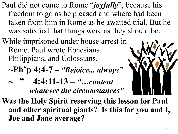- Paul did not come to Rome "*joyfully*", because his freedom to go as he pleased and where had been taken from him in Rome as he awaited trial. But he was satisfied that things were as they should be.
- While imprisoned under house arrest in Rome, Paul wrote Ephesians, Philippians, and Colossians.

$$
\neg Ph^{\prime}p 4:4-7-``Rejoice,.. \ always"
$$

**~ " 4:4:11-13 –** *"…content whatever the circumstances"*



**Was the Holy Spirit reserving this lesson for Paul and other spiritual giants? Is this for you and I, Joe and Jane average?**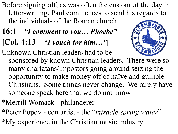- Before signing off, as was often the custom of the day in letter-writing, Paul commences to send his regards to the individuals of the Roman church.
- **16:1 –** *"I comment to you… Phoebe"*
- **[Col. 4:13** *"I vouch for him…"***]**

Unknown Christian leaders had to be



- sponsored by known Christian leaders. There were so many charlatans/impostors going around seizing the opportunity to make money off of naïve and gullible Christians. Some things never change. We rarely have someone speak here that we do not know
- \*Merrill Womack philanderer
- \*Peter Popov con artist the "*miracle spring water*" \*My experience in the Christian music industry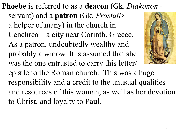**Phoebe** is referred to as a **deacon** (Gk. *Diakonon*  servant) and a **patron** (Gk. *Prostatis –* a helper of many) in the church in Cenchrea – a city near Corinth, Greece. As a patron, undoubtedly wealthy and probably a widow. It is assumed that she was the one entrusted to carry this letter/ epistle to the Roman church. This was a huge responsibility and a credit to the unusual qualities and resources of this woman, as well as her devotion to Christ, and loyalty to Paul.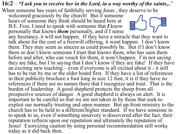## **16:2** – *"I ask you to receive her in the Lord, in a way worthy of the saints,..*"

When someone has years of faithfully serving Jesus , they deserve to be

welcomed graciously by the church! But if someone hears of someone they think should be heard here at B.E. Free, I need to speak with someone that *I* know personally that knows *them* personally, and if I sense

any hesitancy, it will not happen. If they have a miracle that they want to talk about for the cost of a freewill offering, it wont happen. I don't know them. They may seem as sincere as could possibly be. But if I don't know them or don't know someone I trust that knows them, who has seen them before and after, who can vouch for them, it won't happen. I'm not saying they are fake, but I'm saying that I don't know if they are fake! If they have an exciting new teaching – even if everyone is all excited about it - it still has to be run by me or the elder board first. If they have a list of references in their publicity brochure a foot long in size 12 font, it is if they have no references if there are no names there that I recognize and trust. That is the burden of leadership. A good shepherd protects the sheep from all prospective sources of danger. A good shepherd is always on alert. It is important to be careful so that we are not taken in by those that seek to exploit our normally trusting and open manner. But up-front ministry to the church has to be held to a different/higher standard. If we have someone in to speak to us, even if something unsavory is discovered after the fact, their reputation reflects upon our reputation and ultimately the reputation of Jesus! Exorcizing caution by using personal recommendation still works today as it did back then.